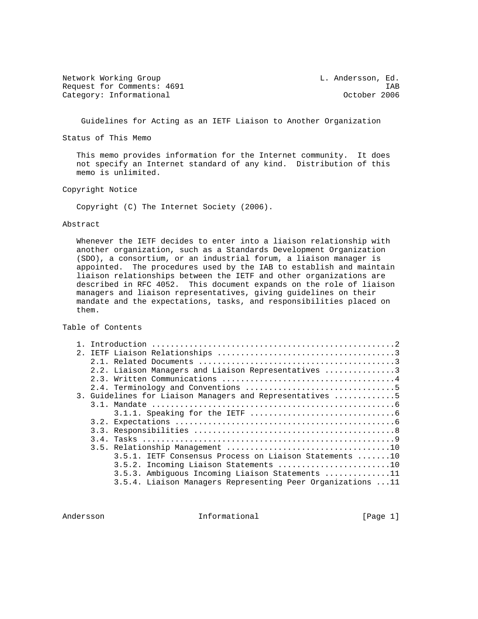Network Working Group and the control of the L. Andersson, Ed. Request for Comments: 4691 IAB<br>Category: Informational Category: Informational Category: 1006 Category: Informational

Guidelines for Acting as an IETF Liaison to Another Organization

Status of This Memo

 This memo provides information for the Internet community. It does not specify an Internet standard of any kind. Distribution of this memo is unlimited.

Copyright Notice

Copyright (C) The Internet Society (2006).

#### Abstract

 Whenever the IETF decides to enter into a liaison relationship with another organization, such as a Standards Development Organization (SDO), a consortium, or an industrial forum, a liaison manager is appointed. The procedures used by the IAB to establish and maintain liaison relationships between the IETF and other organizations are described in RFC 4052. This document expands on the role of liaison managers and liaison representatives, giving guidelines on their mandate and the expectations, tasks, and responsibilities placed on them.

Table of Contents

|  | 2.2. Liaison Managers and Liaison Representatives 3         |  |
|--|-------------------------------------------------------------|--|
|  |                                                             |  |
|  |                                                             |  |
|  | 3. Guidelines for Liaison Managers and Representatives 5    |  |
|  |                                                             |  |
|  |                                                             |  |
|  |                                                             |  |
|  |                                                             |  |
|  |                                                             |  |
|  |                                                             |  |
|  | 3.5.1. IETF Consensus Process on Liaison Statements 10      |  |
|  | 3.5.2. Incoming Liaison Statements 10                       |  |
|  | 3.5.3. Ambiguous Incoming Liaison Statements 11             |  |
|  | 3.5.4. Liaison Managers Representing Peer Organizations  11 |  |
|  |                                                             |  |

Andersson **Informational** Informational [Page 1]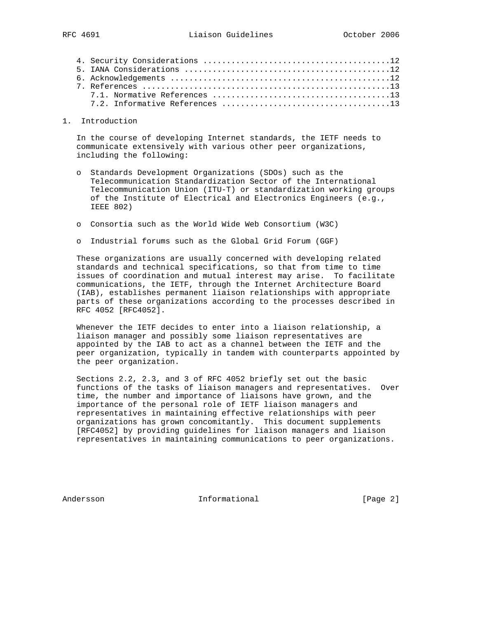### 1. Introduction

 In the course of developing Internet standards, the IETF needs to communicate extensively with various other peer organizations, including the following:

- o Standards Development Organizations (SDOs) such as the Telecommunication Standardization Sector of the International Telecommunication Union (ITU-T) or standardization working groups of the Institute of Electrical and Electronics Engineers (e.g., IEEE 802)
- o Consortia such as the World Wide Web Consortium (W3C)
- o Industrial forums such as the Global Grid Forum (GGF)

 These organizations are usually concerned with developing related standards and technical specifications, so that from time to time issues of coordination and mutual interest may arise. To facilitate communications, the IETF, through the Internet Architecture Board (IAB), establishes permanent liaison relationships with appropriate parts of these organizations according to the processes described in RFC 4052 [RFC4052].

 Whenever the IETF decides to enter into a liaison relationship, a liaison manager and possibly some liaison representatives are appointed by the IAB to act as a channel between the IETF and the peer organization, typically in tandem with counterparts appointed by the peer organization.

 Sections 2.2, 2.3, and 3 of RFC 4052 briefly set out the basic functions of the tasks of liaison managers and representatives. Over time, the number and importance of liaisons have grown, and the importance of the personal role of IETF liaison managers and representatives in maintaining effective relationships with peer organizations has grown concomitantly. This document supplements [RFC4052] by providing guidelines for liaison managers and liaison representatives in maintaining communications to peer organizations.

Andersson **Informational** Informational [Page 2]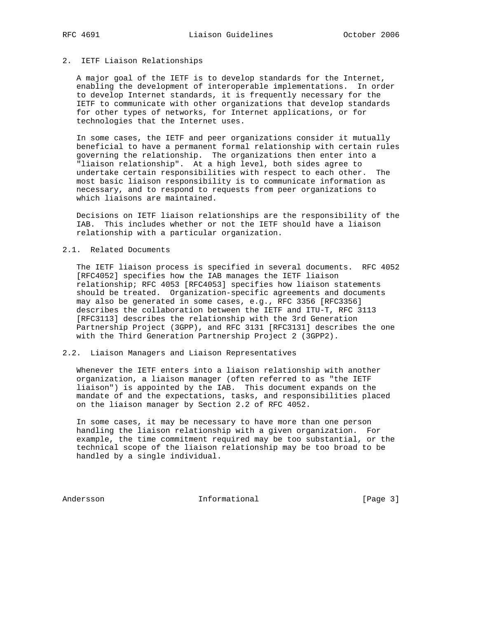# 2. IETF Liaison Relationships

 A major goal of the IETF is to develop standards for the Internet, enabling the development of interoperable implementations. In order to develop Internet standards, it is frequently necessary for the IETF to communicate with other organizations that develop standards for other types of networks, for Internet applications, or for technologies that the Internet uses.

 In some cases, the IETF and peer organizations consider it mutually beneficial to have a permanent formal relationship with certain rules governing the relationship. The organizations then enter into a "liaison relationship". At a high level, both sides agree to undertake certain responsibilities with respect to each other. The most basic liaison responsibility is to communicate information as necessary, and to respond to requests from peer organizations to which liaisons are maintained.

 Decisions on IETF liaison relationships are the responsibility of the IAB. This includes whether or not the IETF should have a liaison relationship with a particular organization.

# 2.1. Related Documents

 The IETF liaison process is specified in several documents. RFC 4052 [RFC4052] specifies how the IAB manages the IETF liaison relationship; RFC 4053 [RFC4053] specifies how liaison statements should be treated. Organization-specific agreements and documents may also be generated in some cases, e.g., RFC 3356 [RFC3356] describes the collaboration between the IETF and ITU-T, RFC 3113 [RFC3113] describes the relationship with the 3rd Generation Partnership Project (3GPP), and RFC 3131 [RFC3131] describes the one with the Third Generation Partnership Project 2 (3GPP2).

### 2.2. Liaison Managers and Liaison Representatives

 Whenever the IETF enters into a liaison relationship with another organization, a liaison manager (often referred to as "the IETF liaison") is appointed by the IAB. This document expands on the mandate of and the expectations, tasks, and responsibilities placed on the liaison manager by Section 2.2 of RFC 4052.

 In some cases, it may be necessary to have more than one person handling the liaison relationship with a given organization. For example, the time commitment required may be too substantial, or the technical scope of the liaison relationship may be too broad to be handled by a single individual.

Andersson Informational [Page 3]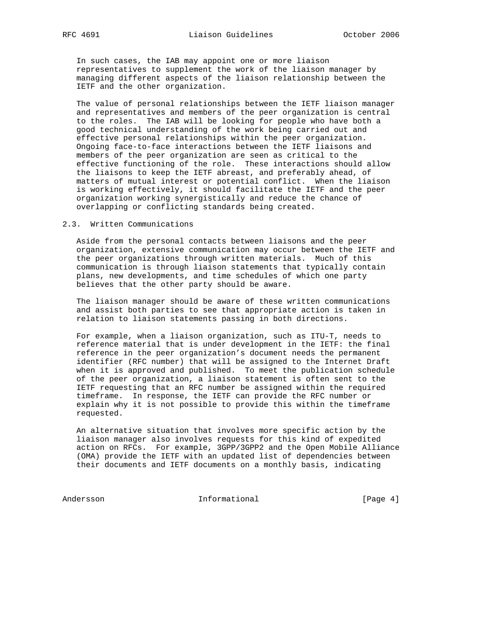In such cases, the IAB may appoint one or more liaison representatives to supplement the work of the liaison manager by managing different aspects of the liaison relationship between the IETF and the other organization.

 The value of personal relationships between the IETF liaison manager and representatives and members of the peer organization is central to the roles. The IAB will be looking for people who have both a good technical understanding of the work being carried out and effective personal relationships within the peer organization. Ongoing face-to-face interactions between the IETF liaisons and members of the peer organization are seen as critical to the effective functioning of the role. These interactions should allow the liaisons to keep the IETF abreast, and preferably ahead, of matters of mutual interest or potential conflict. When the liaison is working effectively, it should facilitate the IETF and the peer organization working synergistically and reduce the chance of overlapping or conflicting standards being created.

2.3. Written Communications

 Aside from the personal contacts between liaisons and the peer organization, extensive communication may occur between the IETF and the peer organizations through written materials. Much of this communication is through liaison statements that typically contain plans, new developments, and time schedules of which one party believes that the other party should be aware.

 The liaison manager should be aware of these written communications and assist both parties to see that appropriate action is taken in relation to liaison statements passing in both directions.

 For example, when a liaison organization, such as ITU-T, needs to reference material that is under development in the IETF: the final reference in the peer organization's document needs the permanent identifier (RFC number) that will be assigned to the Internet Draft when it is approved and published. To meet the publication schedule of the peer organization, a liaison statement is often sent to the IETF requesting that an RFC number be assigned within the required timeframe. In response, the IETF can provide the RFC number or explain why it is not possible to provide this within the timeframe requested.

 An alternative situation that involves more specific action by the liaison manager also involves requests for this kind of expedited action on RFCs. For example, 3GPP/3GPP2 and the Open Mobile Alliance (OMA) provide the IETF with an updated list of dependencies between their documents and IETF documents on a monthly basis, indicating

Andersson Informational [Page 4]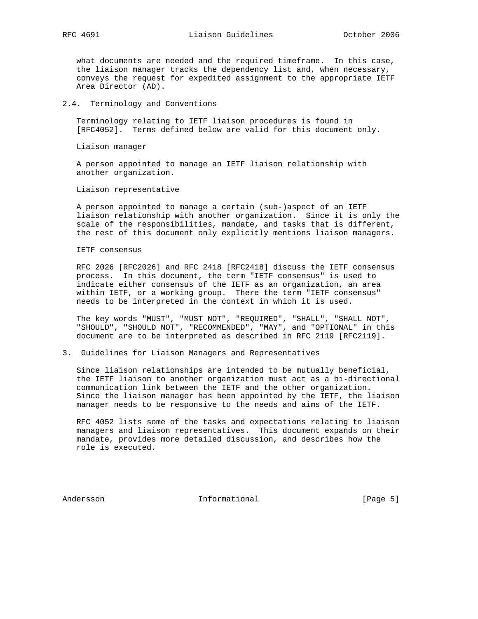what documents are needed and the required timeframe. In this case, the liaison manager tracks the dependency list and, when necessary, conveys the request for expedited assignment to the appropriate IETF Area Director (AD).

### 2.4. Terminology and Conventions

 Terminology relating to IETF liaison procedures is found in [RFC4052]. Terms defined below are valid for this document only.

Liaison manager

 A person appointed to manage an IETF liaison relationship with another organization.

Liaison representative

 A person appointed to manage a certain (sub-)aspect of an IETF liaison relationship with another organization. Since it is only the scale of the responsibilities, mandate, and tasks that is different, the rest of this document only explicitly mentions liaison managers.

### IETF consensus

 RFC 2026 [RFC2026] and RFC 2418 [RFC2418] discuss the IETF consensus process. In this document, the term "IETF consensus" is used to indicate either consensus of the IETF as an organization, an area within IETF, or a working group. There the term "IETF consensus" needs to be interpreted in the context in which it is used.

 The key words "MUST", "MUST NOT", "REQUIRED", "SHALL", "SHALL NOT", "SHOULD", "SHOULD NOT", "RECOMMENDED", "MAY", and "OPTIONAL" in this document are to be interpreted as described in RFC 2119 [RFC2119].

### 3. Guidelines for Liaison Managers and Representatives

 Since liaison relationships are intended to be mutually beneficial, the IETF liaison to another organization must act as a bi-directional communication link between the IETF and the other organization. Since the liaison manager has been appointed by the IETF, the liaison manager needs to be responsive to the needs and aims of the IETF.

 RFC 4052 lists some of the tasks and expectations relating to liaison managers and liaison representatives. This document expands on their mandate, provides more detailed discussion, and describes how the role is executed.

Andersson **Informational** Informational [Page 5]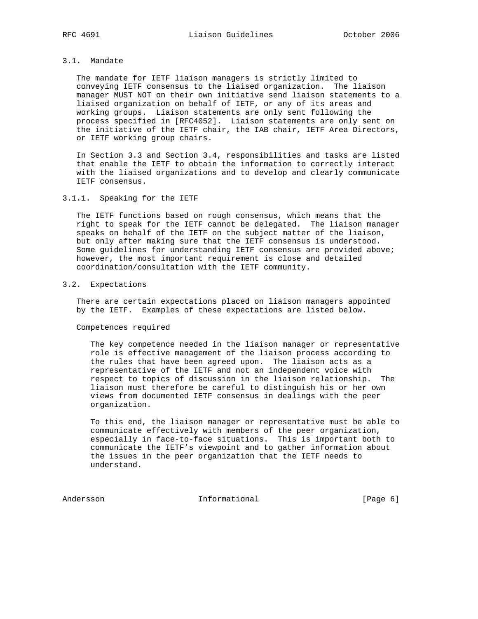# 3.1. Mandate

 The mandate for IETF liaison managers is strictly limited to conveying IETF consensus to the liaised organization. The liaison manager MUST NOT on their own initiative send liaison statements to a liaised organization on behalf of IETF, or any of its areas and working groups. Liaison statements are only sent following the process specified in [RFC4052]. Liaison statements are only sent on the initiative of the IETF chair, the IAB chair, IETF Area Directors, or IETF working group chairs.

 In Section 3.3 and Section 3.4, responsibilities and tasks are listed that enable the IETF to obtain the information to correctly interact with the liaised organizations and to develop and clearly communicate IETF consensus.

# 3.1.1. Speaking for the IETF

 The IETF functions based on rough consensus, which means that the right to speak for the IETF cannot be delegated. The liaison manager speaks on behalf of the IETF on the subject matter of the liaison, but only after making sure that the IETF consensus is understood. Some guidelines for understanding IETF consensus are provided above; however, the most important requirement is close and detailed coordination/consultation with the IETF community.

# 3.2. Expectations

 There are certain expectations placed on liaison managers appointed by the IETF. Examples of these expectations are listed below.

Competences required

 The key competence needed in the liaison manager or representative role is effective management of the liaison process according to the rules that have been agreed upon. The liaison acts as a representative of the IETF and not an independent voice with respect to topics of discussion in the liaison relationship. The liaison must therefore be careful to distinguish his or her own views from documented IETF consensus in dealings with the peer organization.

 To this end, the liaison manager or representative must be able to communicate effectively with members of the peer organization, especially in face-to-face situations. This is important both to communicate the IETF's viewpoint and to gather information about the issues in the peer organization that the IETF needs to understand.

Andersson **Informational** Informational [Page 6]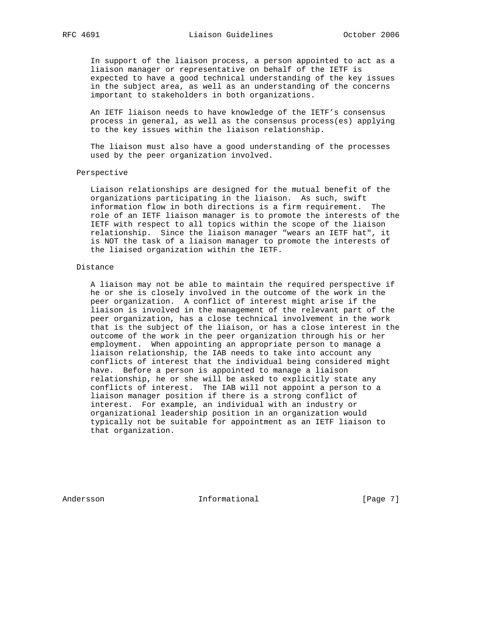In support of the liaison process, a person appointed to act as a liaison manager or representative on behalf of the IETF is expected to have a good technical understanding of the key issues in the subject area, as well as an understanding of the concerns important to stakeholders in both organizations.

 An IETF liaison needs to have knowledge of the IETF's consensus process in general, as well as the consensus process(es) applying to the key issues within the liaison relationship.

 The liaison must also have a good understanding of the processes used by the peer organization involved.

#### Perspective

 Liaison relationships are designed for the mutual benefit of the organizations participating in the liaison. As such, swift information flow in both directions is a firm requirement. The role of an IETF liaison manager is to promote the interests of the IETF with respect to all topics within the scope of the liaison relationship. Since the liaison manager "wears an IETF hat", it is NOT the task of a liaison manager to promote the interests of the liaised organization within the IETF.

### Distance

 A liaison may not be able to maintain the required perspective if he or she is closely involved in the outcome of the work in the peer organization. A conflict of interest might arise if the liaison is involved in the management of the relevant part of the peer organization, has a close technical involvement in the work that is the subject of the liaison, or has a close interest in the outcome of the work in the peer organization through his or her employment. When appointing an appropriate person to manage a liaison relationship, the IAB needs to take into account any conflicts of interest that the individual being considered might have. Before a person is appointed to manage a liaison relationship, he or she will be asked to explicitly state any conflicts of interest. The IAB will not appoint a person to a liaison manager position if there is a strong conflict of interest. For example, an individual with an industry or organizational leadership position in an organization would typically not be suitable for appointment as an IETF liaison to that organization.

Andersson **Informational** Informational [Page 7]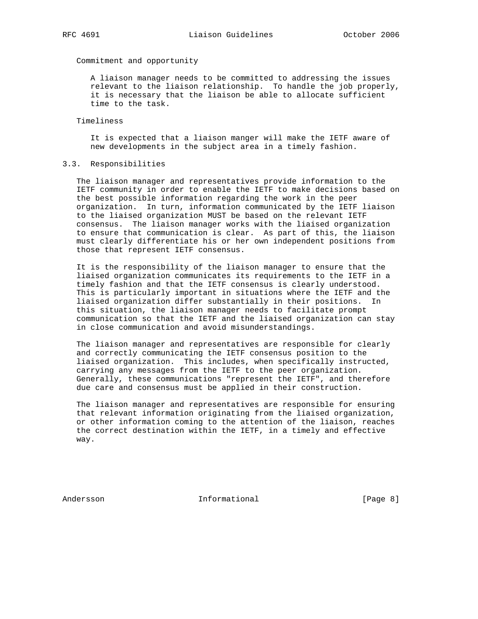Commitment and opportunity

 A liaison manager needs to be committed to addressing the issues relevant to the liaison relationship. To handle the job properly, it is necessary that the liaison be able to allocate sufficient time to the task.

Timeliness

 It is expected that a liaison manger will make the IETF aware of new developments in the subject area in a timely fashion.

### 3.3. Responsibilities

 The liaison manager and representatives provide information to the IETF community in order to enable the IETF to make decisions based on the best possible information regarding the work in the peer organization. In turn, information communicated by the IETF liaison to the liaised organization MUST be based on the relevant IETF consensus. The liaison manager works with the liaised organization to ensure that communication is clear. As part of this, the liaison must clearly differentiate his or her own independent positions from those that represent IETF consensus.

 It is the responsibility of the liaison manager to ensure that the liaised organization communicates its requirements to the IETF in a timely fashion and that the IETF consensus is clearly understood. This is particularly important in situations where the IETF and the liaised organization differ substantially in their positions. In this situation, the liaison manager needs to facilitate prompt communication so that the IETF and the liaised organization can stay in close communication and avoid misunderstandings.

 The liaison manager and representatives are responsible for clearly and correctly communicating the IETF consensus position to the liaised organization. This includes, when specifically instructed, carrying any messages from the IETF to the peer organization. Generally, these communications "represent the IETF", and therefore due care and consensus must be applied in their construction.

 The liaison manager and representatives are responsible for ensuring that relevant information originating from the liaised organization, or other information coming to the attention of the liaison, reaches the correct destination within the IETF, in a timely and effective way.

Andersson **Informational** Informational [Page 8]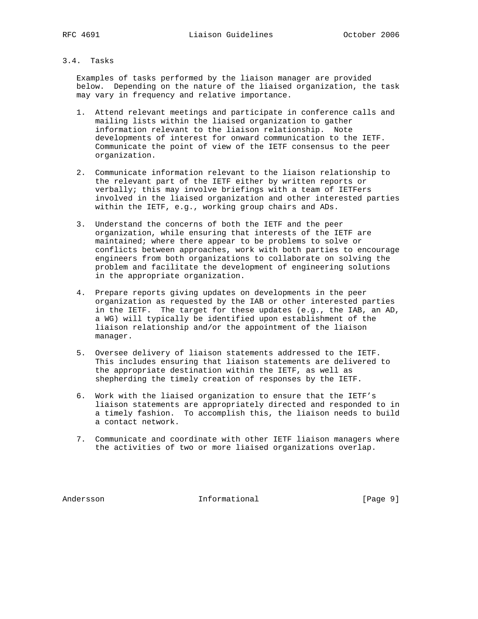# 3.4. Tasks

 Examples of tasks performed by the liaison manager are provided below. Depending on the nature of the liaised organization, the task may vary in frequency and relative importance.

- 1. Attend relevant meetings and participate in conference calls and mailing lists within the liaised organization to gather information relevant to the liaison relationship. Note developments of interest for onward communication to the IETF. Communicate the point of view of the IETF consensus to the peer organization.
- 2. Communicate information relevant to the liaison relationship to the relevant part of the IETF either by written reports or verbally; this may involve briefings with a team of IETFers involved in the liaised organization and other interested parties within the IETF, e.g., working group chairs and ADs.
- 3. Understand the concerns of both the IETF and the peer organization, while ensuring that interests of the IETF are maintained; where there appear to be problems to solve or conflicts between approaches, work with both parties to encourage engineers from both organizations to collaborate on solving the problem and facilitate the development of engineering solutions in the appropriate organization.
- 4. Prepare reports giving updates on developments in the peer organization as requested by the IAB or other interested parties in the IETF. The target for these updates (e.g., the IAB, an AD, a WG) will typically be identified upon establishment of the liaison relationship and/or the appointment of the liaison manager.
- 5. Oversee delivery of liaison statements addressed to the IETF. This includes ensuring that liaison statements are delivered to the appropriate destination within the IETF, as well as shepherding the timely creation of responses by the IETF.
- 6. Work with the liaised organization to ensure that the IETF's liaison statements are appropriately directed and responded to in a timely fashion. To accomplish this, the liaison needs to build a contact network.
- 7. Communicate and coordinate with other IETF liaison managers where the activities of two or more liaised organizations overlap.

Andersson **Informational** Informational [Page 9]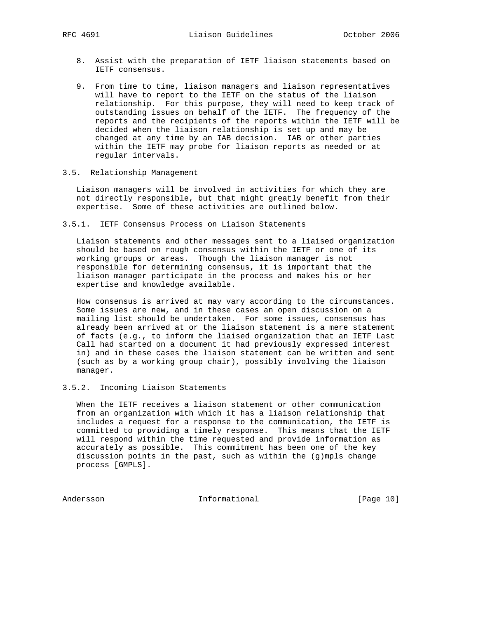- 8. Assist with the preparation of IETF liaison statements based on IETF consensus.
- 9. From time to time, liaison managers and liaison representatives will have to report to the IETF on the status of the liaison relationship. For this purpose, they will need to keep track of outstanding issues on behalf of the IETF. The frequency of the reports and the recipients of the reports within the IETF will be decided when the liaison relationship is set up and may be changed at any time by an IAB decision. IAB or other parties within the IETF may probe for liaison reports as needed or at regular intervals.

# 3.5. Relationship Management

 Liaison managers will be involved in activities for which they are not directly responsible, but that might greatly benefit from their expertise. Some of these activities are outlined below.

3.5.1. IETF Consensus Process on Liaison Statements

 Liaison statements and other messages sent to a liaised organization should be based on rough consensus within the IETF or one of its working groups or areas. Though the liaison manager is not responsible for determining consensus, it is important that the liaison manager participate in the process and makes his or her expertise and knowledge available.

 How consensus is arrived at may vary according to the circumstances. Some issues are new, and in these cases an open discussion on a mailing list should be undertaken. For some issues, consensus has already been arrived at or the liaison statement is a mere statement of facts (e.g., to inform the liaised organization that an IETF Last Call had started on a document it had previously expressed interest in) and in these cases the liaison statement can be written and sent (such as by a working group chair), possibly involving the liaison manager.

3.5.2. Incoming Liaison Statements

 When the IETF receives a liaison statement or other communication from an organization with which it has a liaison relationship that includes a request for a response to the communication, the IETF is committed to providing a timely response. This means that the IETF will respond within the time requested and provide information as accurately as possible. This commitment has been one of the key discussion points in the past, such as within the (g)mpls change process [GMPLS].

Andersson Informational [Page 10]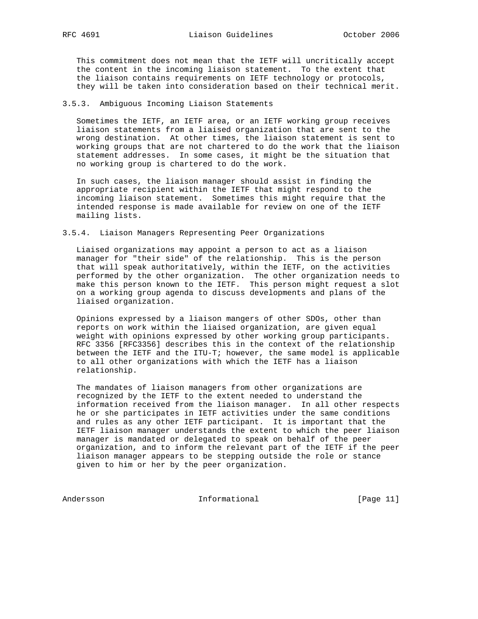This commitment does not mean that the IETF will uncritically accept the content in the incoming liaison statement. To the extent that the liaison contains requirements on IETF technology or protocols, they will be taken into consideration based on their technical merit.

# 3.5.3. Ambiguous Incoming Liaison Statements

 Sometimes the IETF, an IETF area, or an IETF working group receives liaison statements from a liaised organization that are sent to the wrong destination. At other times, the liaison statement is sent to working groups that are not chartered to do the work that the liaison statement addresses. In some cases, it might be the situation that no working group is chartered to do the work.

 In such cases, the liaison manager should assist in finding the appropriate recipient within the IETF that might respond to the incoming liaison statement. Sometimes this might require that the intended response is made available for review on one of the IETF mailing lists.

#### 3.5.4. Liaison Managers Representing Peer Organizations

 Liaised organizations may appoint a person to act as a liaison manager for "their side" of the relationship. This is the person that will speak authoritatively, within the IETF, on the activities performed by the other organization. The other organization needs to make this person known to the IETF. This person might request a slot on a working group agenda to discuss developments and plans of the liaised organization.

 Opinions expressed by a liaison mangers of other SDOs, other than reports on work within the liaised organization, are given equal weight with opinions expressed by other working group participants. RFC 3356 [RFC3356] describes this in the context of the relationship between the IETF and the ITU-T; however, the same model is applicable to all other organizations with which the IETF has a liaison relationship.

 The mandates of liaison managers from other organizations are recognized by the IETF to the extent needed to understand the information received from the liaison manager. In all other respects he or she participates in IETF activities under the same conditions and rules as any other IETF participant. It is important that the IETF liaison manager understands the extent to which the peer liaison manager is mandated or delegated to speak on behalf of the peer organization, and to inform the relevant part of the IETF if the peer liaison manager appears to be stepping outside the role or stance given to him or her by the peer organization.

Andersson Informational [Page 11]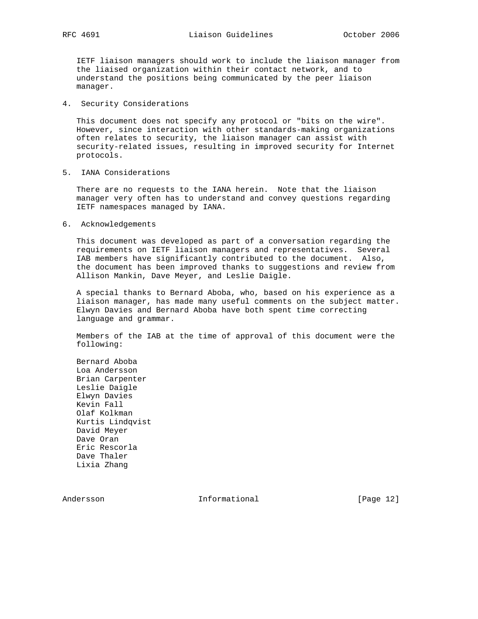IETF liaison managers should work to include the liaison manager from the liaised organization within their contact network, and to understand the positions being communicated by the peer liaison manager.

4. Security Considerations

 This document does not specify any protocol or "bits on the wire". However, since interaction with other standards-making organizations often relates to security, the liaison manager can assist with security-related issues, resulting in improved security for Internet protocols.

5. IANA Considerations

 There are no requests to the IANA herein. Note that the liaison manager very often has to understand and convey questions regarding IETF namespaces managed by IANA.

6. Acknowledgements

 This document was developed as part of a conversation regarding the requirements on IETF liaison managers and representatives. Several IAB members have significantly contributed to the document. Also, the document has been improved thanks to suggestions and review from Allison Mankin, Dave Meyer, and Leslie Daigle.

 A special thanks to Bernard Aboba, who, based on his experience as a liaison manager, has made many useful comments on the subject matter. Elwyn Davies and Bernard Aboba have both spent time correcting language and grammar.

 Members of the IAB at the time of approval of this document were the following:

 Bernard Aboba Loa Andersson Brian Carpenter Leslie Daigle Elwyn Davies Kevin Fall Olaf Kolkman Kurtis Lindqvist David Meyer Dave Oran Eric Rescorla Dave Thaler Lixia Zhang

Andersson **Informational** Informational [Page 12]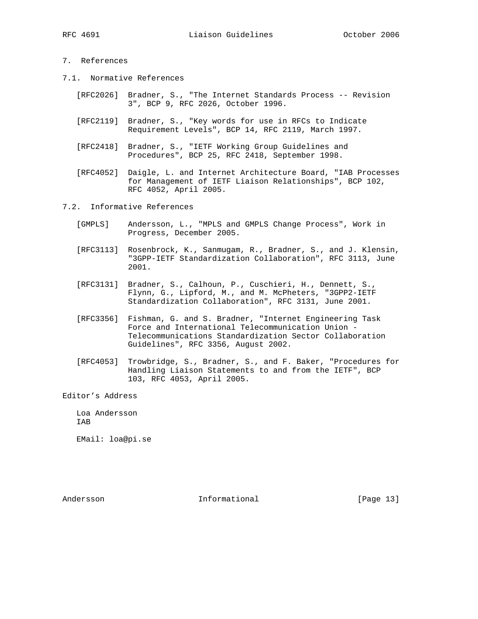# 7. References

- 7.1. Normative References
	- [RFC2026] Bradner, S., "The Internet Standards Process -- Revision 3", BCP 9, RFC 2026, October 1996.
	- [RFC2119] Bradner, S., "Key words for use in RFCs to Indicate Requirement Levels", BCP 14, RFC 2119, March 1997.
	- [RFC2418] Bradner, S., "IETF Working Group Guidelines and Procedures", BCP 25, RFC 2418, September 1998.
	- [RFC4052] Daigle, L. and Internet Architecture Board, "IAB Processes for Management of IETF Liaison Relationships", BCP 102, RFC 4052, April 2005.
- 7.2. Informative References
	- [GMPLS] Andersson, L., "MPLS and GMPLS Change Process", Work in Progress, December 2005.
	- [RFC3113] Rosenbrock, K., Sanmugam, R., Bradner, S., and J. Klensin, "3GPP-IETF Standardization Collaboration", RFC 3113, June 2001.
	- [RFC3131] Bradner, S., Calhoun, P., Cuschieri, H., Dennett, S., Flynn, G., Lipford, M., and M. McPheters, "3GPP2-IETF Standardization Collaboration", RFC 3131, June 2001.
	- [RFC3356] Fishman, G. and S. Bradner, "Internet Engineering Task Force and International Telecommunication Union - Telecommunications Standardization Sector Collaboration Guidelines", RFC 3356, August 2002.
	- [RFC4053] Trowbridge, S., Bradner, S., and F. Baker, "Procedures for Handling Liaison Statements to and from the IETF", BCP 103, RFC 4053, April 2005.

Editor's Address

 Loa Andersson IAB

EMail: loa@pi.se

Andersson **Informational** Informational [Page 13]